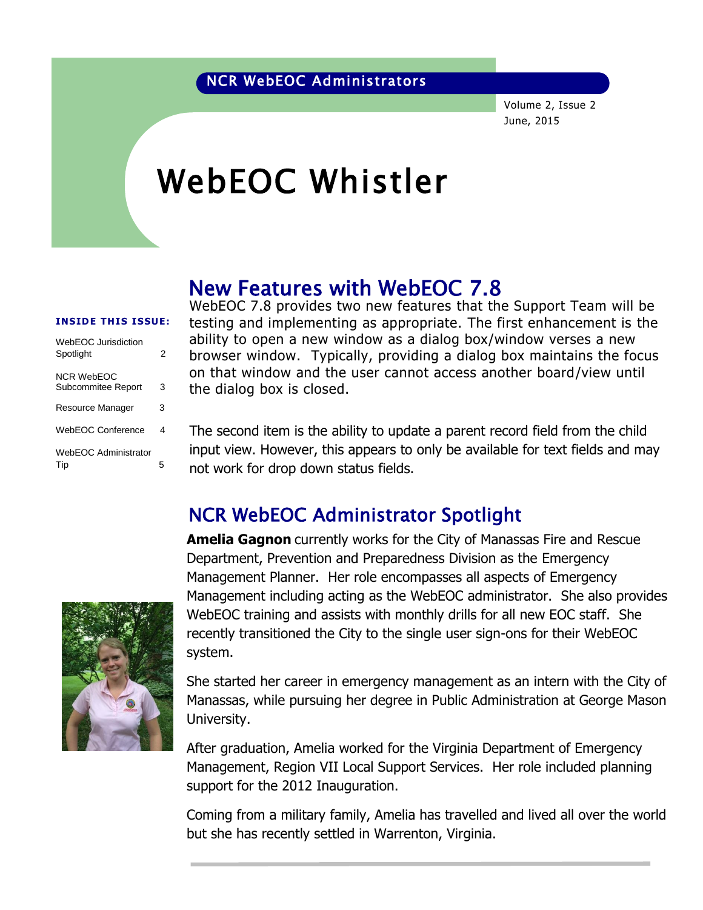Volume 2, Issue 2 June, 2015

# WebEOC Whistler

# New Features with WebEOC 7.8

#### **INSIDE THIS ISSUE:**

| WebEOC Jurisdiction<br>Spotlight | 2  |
|----------------------------------|----|
| NCR WebFOC<br>Subcommitee Report | 3  |
| Resource Manager                 | 3  |
| WebFOC Conference                | 4  |
| WebFOC Administrator<br>Tip      | г, |

WebEOC 7.8 provides two new features that the Support Team will be testing and implementing as appropriate. The first enhancement is the ability to open a new window as a dialog box/window verses a new browser window. Typically, providing a dialog box maintains the focus on that window and the user cannot access another board/view until the dialog box is closed.

The second item is the ability to update a parent record field from the child input view. However, this appears to only be available for text fields and may not work for drop down status fields.

## NCR WebEOC Administrator Spotlight



**Amelia Gagnon** currently works for the City of Manassas Fire and Rescue Department, Prevention and Preparedness Division as the Emergency Management Planner. Her role encompasses all aspects of Emergency Management including acting as the WebEOC administrator. She also provides WebEOC training and assists with monthly drills for all new EOC staff. She recently transitioned the City to the single user sign-ons for their WebEOC system.

She started her career in emergency management as an intern with the City of Manassas, while pursuing her degree in Public Administration at George Mason University.

After graduation, Amelia worked for the Virginia Department of Emergency Management, Region VII Local Support Services. Her role included planning support for the 2012 Inauguration.

Coming from a military family, Amelia has travelled and lived all over the world but she has recently settled in Warrenton, Virginia.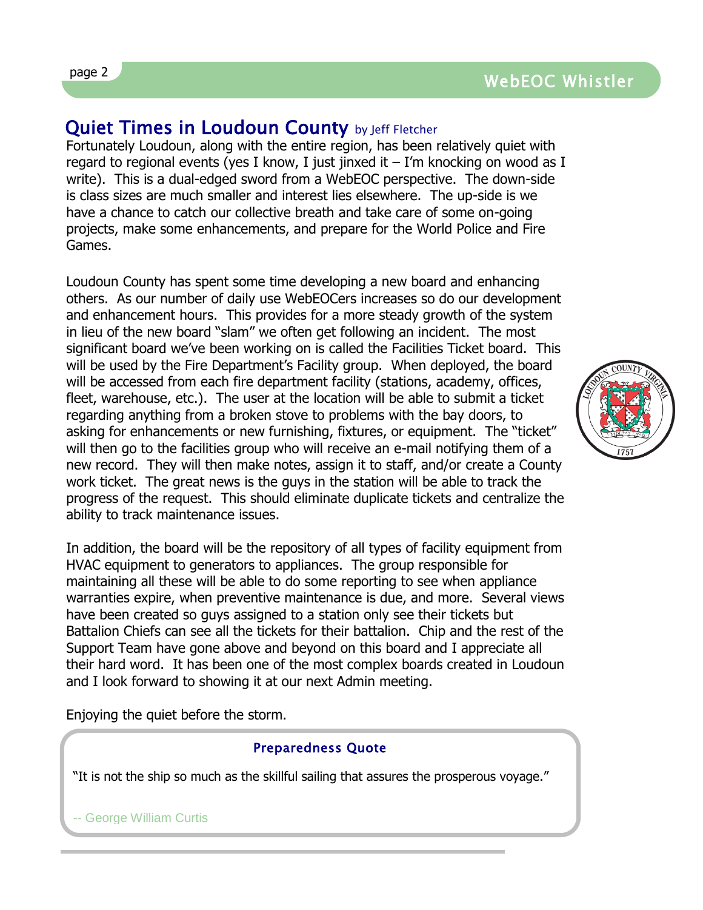## Quiet Times in Loudoun County by Jeff Fletcher

Fortunately Loudoun, along with the entire region, has been relatively quiet with regard to regional events (yes I know, I just jinxed it  $-$  I'm knocking on wood as I write). This is a dual-edged sword from a WebEOC perspective. The down-side is class sizes are much smaller and interest lies elsewhere. The up-side is we have a chance to catch our collective breath and take care of some on-going projects, make some enhancements, and prepare for the World Police and Fire Games.

Loudoun County has spent some time developing a new board and enhancing others. As our number of daily use WebEOCers increases so do our development and enhancement hours. This provides for a more steady growth of the system in lieu of the new board "slam" we often get following an incident. The most significant board we've been working on is called the Facilities Ticket board. This will be used by the Fire Department's Facility group. When deployed, the board will be accessed from each fire department facility (stations, academy, offices, fleet, warehouse, etc.). The user at the location will be able to submit a ticket regarding anything from a broken stove to problems with the bay doors, to asking for enhancements or new furnishing, fixtures, or equipment. The "ticket" will then go to the facilities group who will receive an e-mail notifying them of a new record. They will then make notes, assign it to staff, and/or create a County work ticket. The great news is the guys in the station will be able to track the progress of the request. This should eliminate duplicate tickets and centralize the ability to track maintenance issues.

In addition, the board will be the repository of all types of facility equipment from HVAC equipment to generators to appliances. The group responsible for maintaining all these will be able to do some reporting to see when appliance warranties expire, when preventive maintenance is due, and more. Several views have been created so guys assigned to a station only see their tickets but Battalion Chiefs can see all the tickets for their battalion. Chip and the rest of the Support Team have gone above and beyond on this board and I appreciate all their hard word. It has been one of the most complex boards created in Loudoun and I look forward to showing it at our next Admin meeting.

Enjoying the quiet before the storm.

### Preparedness Quote

"It is not the ship so much as the skillful sailing that assures the prosperous voyage."

-- George William Curtis

page 2

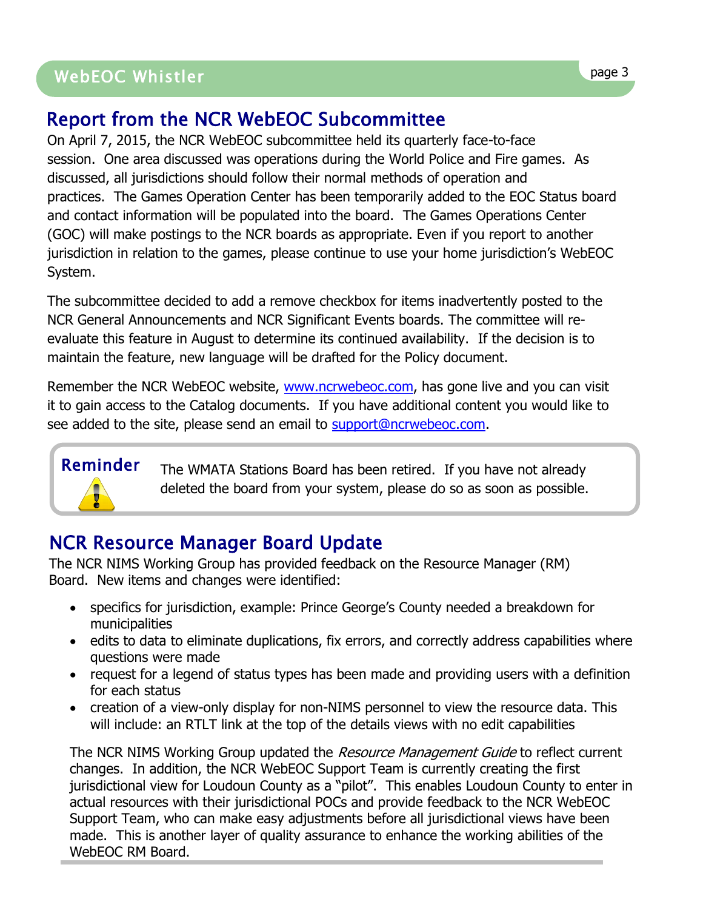# WebEOC Whistler Page 3 WebEOC Whistler page 3

# Report from the NCR WebEOC Subcommittee

On April 7, 2015, the NCR WebEOC subcommittee held its quarterly face-to-face session. One area discussed was operations during the World Police and Fire games. As discussed, all jurisdictions should follow their normal methods of operation and practices. The Games Operation Center has been temporarily added to the EOC Status board and contact information will be populated into the board. The Games Operations Center (GOC) will make postings to the NCR boards as appropriate. Even if you report to another jurisdiction in relation to the games, please continue to use your home jurisdiction's WebEOC System.

The subcommittee decided to add a remove checkbox for items inadvertently posted to the NCR General Announcements and NCR Significant Events boards. The committee will reevaluate this feature in August to determine its continued availability. If the decision is to maintain the feature, new language will be drafted for the Policy document.

Remember the NCR WebEOC website, [www.ncrwebeoc.com,](http://www.ncrwebeoc.com/) has gone live and you can visit it to gain access to the Catalog documents. If you have additional content you would like to see added to the site, please send an email to [support@ncrwebeoc.com.](mailto:support@ncrwebeoc.com)

# Reminder

The WMATA Stations Board has been retired. If you have not already deleted the board from your system, please do so as soon as possible.

# NCR Resource Manager Board Update

The NCR NIMS Working Group has provided feedback on the Resource Manager (RM) Board. New items and changes were identified:

- specifics for jurisdiction, example: Prince George's County needed a breakdown for municipalities
- edits to data to eliminate duplications, fix errors, and correctly address capabilities where questions were made
- request for a legend of status types has been made and providing users with a definition for each status
- creation of a view-only display for non-NIMS personnel to view the resource data. This will include: an RTLT link at the top of the details views with no edit capabilities

The NCR NIMS Working Group updated the Resource Management Guide to reflect current changes. In addition, the NCR WebEOC Support Team is currently creating the first jurisdictional view for Loudoun County as a "pilot". This enables Loudoun County to enter in actual resources with their jurisdictional POCs and provide feedback to the NCR WebEOC Support Team, who can make easy adjustments before all jurisdictional views have been made. This is another layer of quality assurance to enhance the working abilities of the WebEOC RM Board.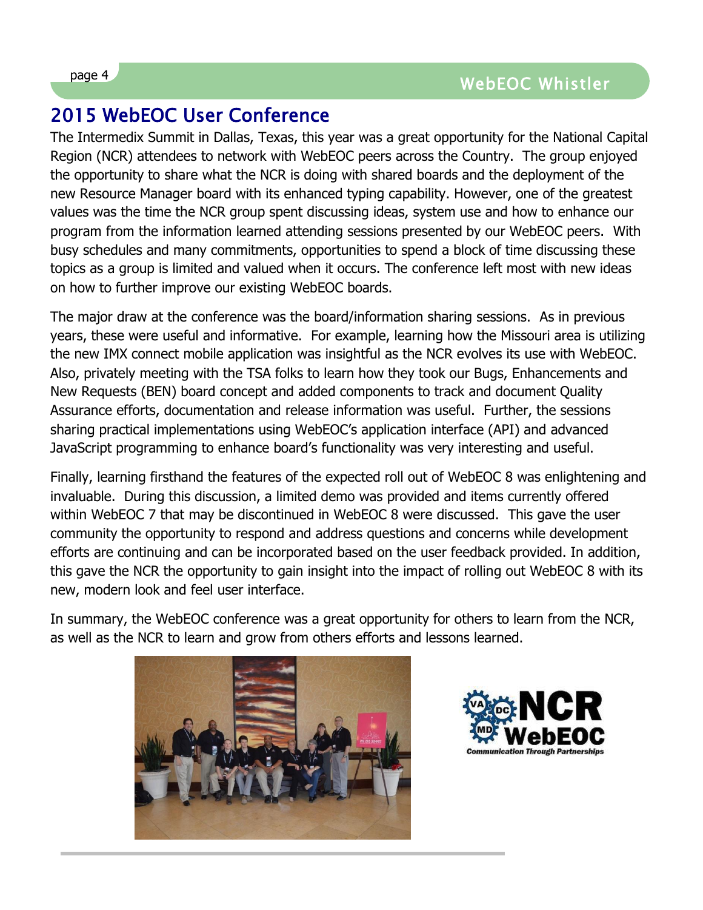# 2015 WebEOC User Conference

The Intermedix Summit in Dallas, Texas, this year was a great opportunity for the National Capital Region (NCR) attendees to network with WebEOC peers across the Country. The group enjoyed the opportunity to share what the NCR is doing with shared boards and the deployment of the new Resource Manager board with its enhanced typing capability. However, one of the greatest values was the time the NCR group spent discussing ideas, system use and how to enhance our program from the information learned attending sessions presented by our WebEOC peers. With busy schedules and many commitments, opportunities to spend a block of time discussing these topics as a group is limited and valued when it occurs. The conference left most with new ideas on how to further improve our existing WebEOC boards.

The major draw at the conference was the board/information sharing sessions. As in previous years, these were useful and informative. For example, learning how the Missouri area is utilizing the new IMX connect mobile application was insightful as the NCR evolves its use with WebEOC. Also, privately meeting with the TSA folks to learn how they took our Bugs, Enhancements and New Requests (BEN) board concept and added components to track and document Quality Assurance efforts, documentation and release information was useful. Further, the sessions sharing practical implementations using WebEOC's application interface (API) and advanced JavaScript programming to enhance board's functionality was very interesting and useful.

Finally, learning firsthand the features of the expected roll out of WebEOC 8 was enlightening and invaluable. During this discussion, a limited demo was provided and items currently offered within WebEOC 7 that may be discontinued in WebEOC 8 were discussed. This gave the user community the opportunity to respond and address questions and concerns while development efforts are continuing and can be incorporated based on the user feedback provided. In addition, this gave the NCR the opportunity to gain insight into the impact of rolling out WebEOC 8 with its new, modern look and feel user interface.

In summary, the WebEOC conference was a great opportunity for others to learn from the NCR, as well as the NCR to learn and grow from others efforts and lessons learned.





 $\overline{a}$